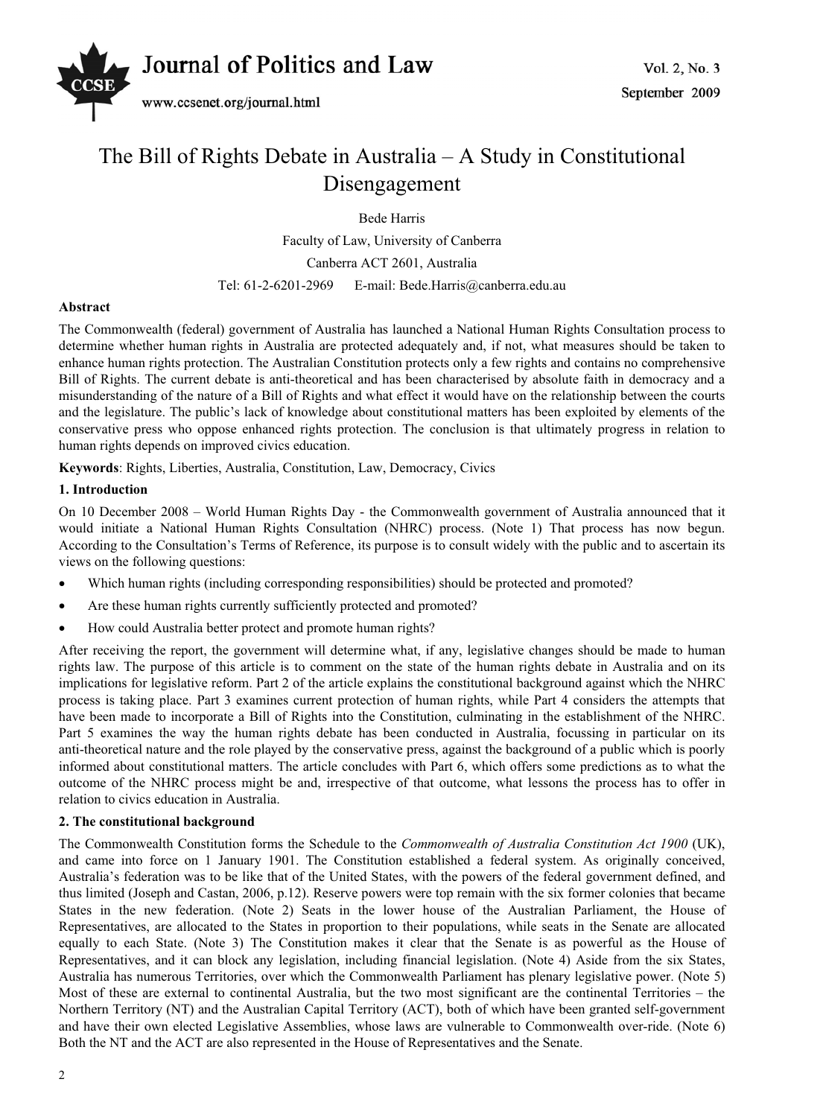

# The Bill of Rights Debate in Australia – A Study in Constitutional Disengagement

Bede Harris

Faculty of Law, University of Canberra Canberra ACT 2601, Australia Tel: 61-2-6201-2969 E-mail: Bede.Harris@canberra.edu.au

# **Abstract**

The Commonwealth (federal) government of Australia has launched a National Human Rights Consultation process to determine whether human rights in Australia are protected adequately and, if not, what measures should be taken to enhance human rights protection. The Australian Constitution protects only a few rights and contains no comprehensive Bill of Rights. The current debate is anti-theoretical and has been characterised by absolute faith in democracy and a misunderstanding of the nature of a Bill of Rights and what effect it would have on the relationship between the courts and the legislature. The public's lack of knowledge about constitutional matters has been exploited by elements of the conservative press who oppose enhanced rights protection. The conclusion is that ultimately progress in relation to human rights depends on improved civics education.

**Keywords**: Rights, Liberties, Australia, Constitution, Law, Democracy, Civics

# **1. Introduction**

On 10 December 2008 – World Human Rights Day - the Commonwealth government of Australia announced that it would initiate a National Human Rights Consultation (NHRC) process. (Note 1) That process has now begun. According to the Consultation's Terms of Reference, its purpose is to consult widely with the public and to ascertain its views on the following questions:

- x Which human rights (including corresponding responsibilities) should be protected and promoted?
- Are these human rights currently sufficiently protected and promoted?
- How could Australia better protect and promote human rights?

After receiving the report, the government will determine what, if any, legislative changes should be made to human rights law. The purpose of this article is to comment on the state of the human rights debate in Australia and on its implications for legislative reform. Part 2 of the article explains the constitutional background against which the NHRC process is taking place. Part 3 examines current protection of human rights, while Part 4 considers the attempts that have been made to incorporate a Bill of Rights into the Constitution, culminating in the establishment of the NHRC. Part 5 examines the way the human rights debate has been conducted in Australia, focussing in particular on its anti-theoretical nature and the role played by the conservative press, against the background of a public which is poorly informed about constitutional matters. The article concludes with Part 6, which offers some predictions as to what the outcome of the NHRC process might be and, irrespective of that outcome, what lessons the process has to offer in relation to civics education in Australia.

# **2. The constitutional background**

The Commonwealth Constitution forms the Schedule to the *Commonwealth of Australia Constitution Act 1900* (UK), and came into force on 1 January 1901. The Constitution established a federal system. As originally conceived, Australia's federation was to be like that of the United States, with the powers of the federal government defined, and thus limited (Joseph and Castan, 2006, p.12). Reserve powers were top remain with the six former colonies that became States in the new federation. (Note 2) Seats in the lower house of the Australian Parliament, the House of Representatives, are allocated to the States in proportion to their populations, while seats in the Senate are allocated equally to each State. (Note 3) The Constitution makes it clear that the Senate is as powerful as the House of Representatives, and it can block any legislation, including financial legislation. (Note 4) Aside from the six States, Australia has numerous Territories, over which the Commonwealth Parliament has plenary legislative power. (Note 5) Most of these are external to continental Australia, but the two most significant are the continental Territories – the Northern Territory (NT) and the Australian Capital Territory (ACT), both of which have been granted self-government and have their own elected Legislative Assemblies, whose laws are vulnerable to Commonwealth over-ride. (Note 6) Both the NT and the ACT are also represented in the House of Representatives and the Senate.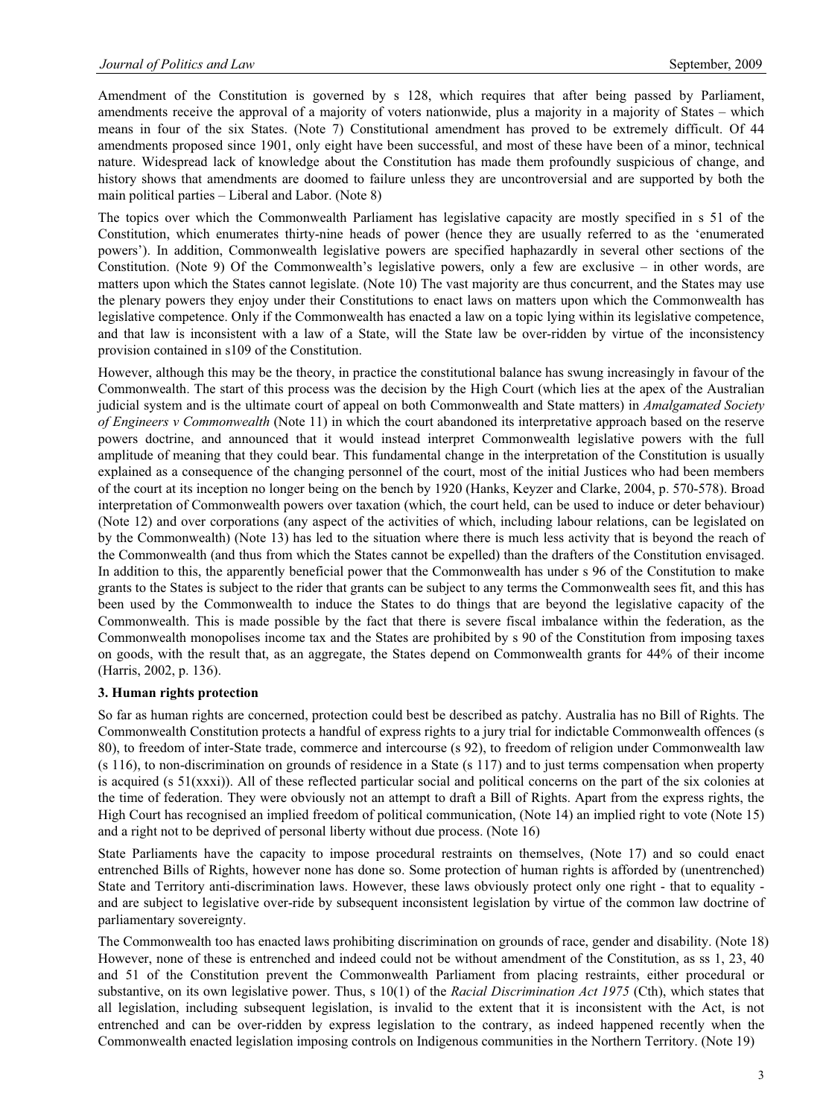Amendment of the Constitution is governed by s 128, which requires that after being passed by Parliament, amendments receive the approval of a majority of voters nationwide, plus a majority in a majority of States – which means in four of the six States. (Note 7) Constitutional amendment has proved to be extremely difficult. Of 44 amendments proposed since 1901, only eight have been successful, and most of these have been of a minor, technical nature. Widespread lack of knowledge about the Constitution has made them profoundly suspicious of change, and history shows that amendments are doomed to failure unless they are uncontroversial and are supported by both the main political parties – Liberal and Labor. (Note 8)

The topics over which the Commonwealth Parliament has legislative capacity are mostly specified in s 51 of the Constitution, which enumerates thirty-nine heads of power (hence they are usually referred to as the 'enumerated powers'). In addition, Commonwealth legislative powers are specified haphazardly in several other sections of the Constitution. (Note 9) Of the Commonwealth's legislative powers, only a few are exclusive – in other words, are matters upon which the States cannot legislate. (Note 10) The vast majority are thus concurrent, and the States may use the plenary powers they enjoy under their Constitutions to enact laws on matters upon which the Commonwealth has legislative competence. Only if the Commonwealth has enacted a law on a topic lying within its legislative competence, and that law is inconsistent with a law of a State, will the State law be over-ridden by virtue of the inconsistency provision contained in s109 of the Constitution.

However, although this may be the theory, in practice the constitutional balance has swung increasingly in favour of the Commonwealth. The start of this process was the decision by the High Court (which lies at the apex of the Australian judicial system and is the ultimate court of appeal on both Commonwealth and State matters) in *Amalgamated Society of Engineers v Commonwealth* (Note 11) in which the court abandoned its interpretative approach based on the reserve powers doctrine, and announced that it would instead interpret Commonwealth legislative powers with the full amplitude of meaning that they could bear. This fundamental change in the interpretation of the Constitution is usually explained as a consequence of the changing personnel of the court, most of the initial Justices who had been members of the court at its inception no longer being on the bench by 1920 (Hanks, Keyzer and Clarke, 2004, p. 570-578). Broad interpretation of Commonwealth powers over taxation (which, the court held, can be used to induce or deter behaviour) (Note 12) and over corporations (any aspect of the activities of which, including labour relations, can be legislated on by the Commonwealth) (Note 13) has led to the situation where there is much less activity that is beyond the reach of the Commonwealth (and thus from which the States cannot be expelled) than the drafters of the Constitution envisaged. In addition to this, the apparently beneficial power that the Commonwealth has under s 96 of the Constitution to make grants to the States is subject to the rider that grants can be subject to any terms the Commonwealth sees fit, and this has been used by the Commonwealth to induce the States to do things that are beyond the legislative capacity of the Commonwealth. This is made possible by the fact that there is severe fiscal imbalance within the federation, as the Commonwealth monopolises income tax and the States are prohibited by s 90 of the Constitution from imposing taxes on goods, with the result that, as an aggregate, the States depend on Commonwealth grants for 44% of their income (Harris, 2002, p. 136).

#### **3. Human rights protection**

So far as human rights are concerned, protection could best be described as patchy. Australia has no Bill of Rights. The Commonwealth Constitution protects a handful of express rights to a jury trial for indictable Commonwealth offences (s 80), to freedom of inter-State trade, commerce and intercourse (s 92), to freedom of religion under Commonwealth law (s 116), to non-discrimination on grounds of residence in a State (s 117) and to just terms compensation when property is acquired (s 51(xxxi)). All of these reflected particular social and political concerns on the part of the six colonies at the time of federation. They were obviously not an attempt to draft a Bill of Rights. Apart from the express rights, the High Court has recognised an implied freedom of political communication, (Note 14) an implied right to vote (Note 15) and a right not to be deprived of personal liberty without due process. (Note 16)

State Parliaments have the capacity to impose procedural restraints on themselves, (Note 17) and so could enact entrenched Bills of Rights, however none has done so. Some protection of human rights is afforded by (unentrenched) State and Territory anti-discrimination laws. However, these laws obviously protect only one right - that to equality and are subject to legislative over-ride by subsequent inconsistent legislation by virtue of the common law doctrine of parliamentary sovereignty.

The Commonwealth too has enacted laws prohibiting discrimination on grounds of race, gender and disability. (Note 18) However, none of these is entrenched and indeed could not be without amendment of the Constitution, as ss 1, 23, 40 and 51 of the Constitution prevent the Commonwealth Parliament from placing restraints, either procedural or substantive, on its own legislative power. Thus, s 10(1) of the *Racial Discrimination Act 1975* (Cth), which states that all legislation, including subsequent legislation, is invalid to the extent that it is inconsistent with the Act, is not entrenched and can be over-ridden by express legislation to the contrary, as indeed happened recently when the Commonwealth enacted legislation imposing controls on Indigenous communities in the Northern Territory. (Note 19)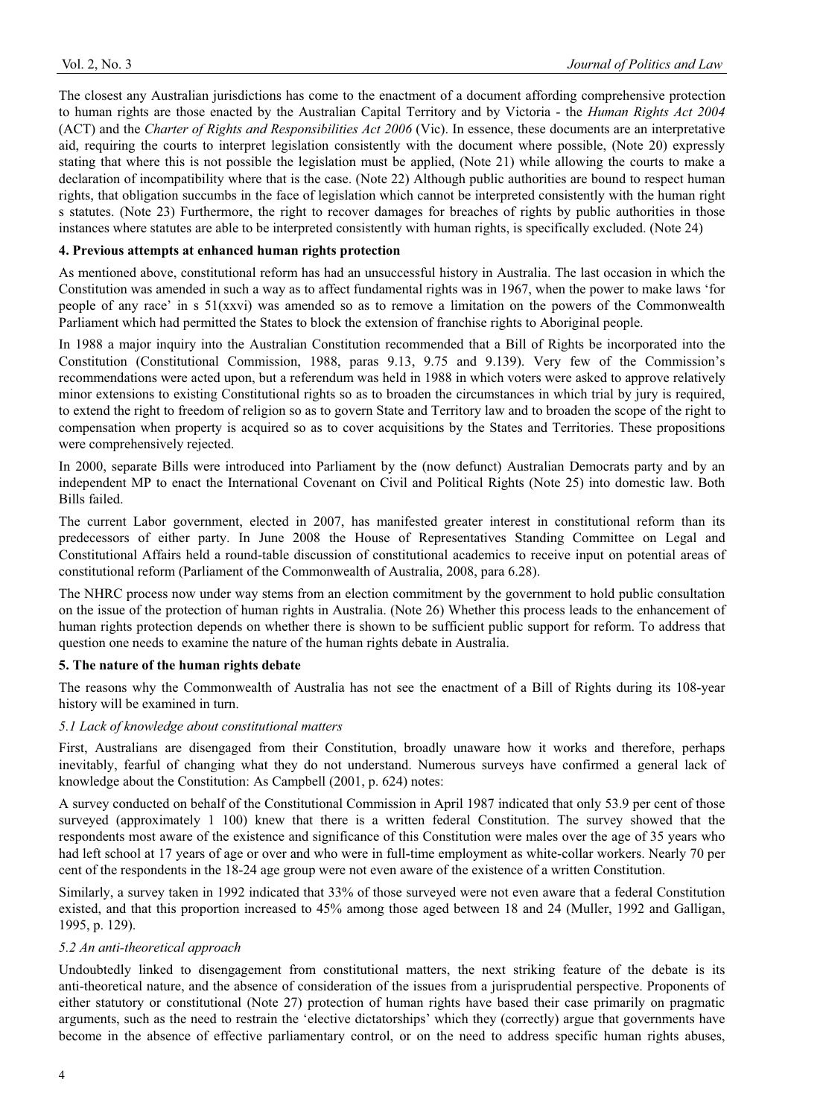The closest any Australian jurisdictions has come to the enactment of a document affording comprehensive protection to human rights are those enacted by the Australian Capital Territory and by Victoria - the *Human Rights Act 2004*  (ACT) and the *Charter of Rights and Responsibilities Act 2006* (Vic). In essence, these documents are an interpretative aid, requiring the courts to interpret legislation consistently with the document where possible, (Note 20) expressly stating that where this is not possible the legislation must be applied, (Note 21) while allowing the courts to make a declaration of incompatibility where that is the case. (Note 22) Although public authorities are bound to respect human rights, that obligation succumbs in the face of legislation which cannot be interpreted consistently with the human right s statutes. (Note 23) Furthermore, the right to recover damages for breaches of rights by public authorities in those instances where statutes are able to be interpreted consistently with human rights, is specifically excluded. (Note 24)

# **4. Previous attempts at enhanced human rights protection**

As mentioned above, constitutional reform has had an unsuccessful history in Australia. The last occasion in which the Constitution was amended in such a way as to affect fundamental rights was in 1967, when the power to make laws 'for people of any race' in s 51(xxvi) was amended so as to remove a limitation on the powers of the Commonwealth Parliament which had permitted the States to block the extension of franchise rights to Aboriginal people.

In 1988 a major inquiry into the Australian Constitution recommended that a Bill of Rights be incorporated into the Constitution (Constitutional Commission, 1988, paras 9.13, 9.75 and 9.139). Very few of the Commission's recommendations were acted upon, but a referendum was held in 1988 in which voters were asked to approve relatively minor extensions to existing Constitutional rights so as to broaden the circumstances in which trial by jury is required, to extend the right to freedom of religion so as to govern State and Territory law and to broaden the scope of the right to compensation when property is acquired so as to cover acquisitions by the States and Territories. These propositions were comprehensively rejected.

In 2000, separate Bills were introduced into Parliament by the (now defunct) Australian Democrats party and by an independent MP to enact the International Covenant on Civil and Political Rights (Note 25) into domestic law. Both Bills failed.

The current Labor government, elected in 2007, has manifested greater interest in constitutional reform than its predecessors of either party. In June 2008 the House of Representatives Standing Committee on Legal and Constitutional Affairs held a round-table discussion of constitutional academics to receive input on potential areas of constitutional reform (Parliament of the Commonwealth of Australia, 2008, para 6.28).

The NHRC process now under way stems from an election commitment by the government to hold public consultation on the issue of the protection of human rights in Australia. (Note 26) Whether this process leads to the enhancement of human rights protection depends on whether there is shown to be sufficient public support for reform. To address that question one needs to examine the nature of the human rights debate in Australia.

#### **5. The nature of the human rights debate**

The reasons why the Commonwealth of Australia has not see the enactment of a Bill of Rights during its 108-year history will be examined in turn.

#### *5.1 Lack of knowledge about constitutional matters*

First, Australians are disengaged from their Constitution, broadly unaware how it works and therefore, perhaps inevitably, fearful of changing what they do not understand. Numerous surveys have confirmed a general lack of knowledge about the Constitution: As Campbell (2001, p. 624) notes:

A survey conducted on behalf of the Constitutional Commission in April 1987 indicated that only 53.9 per cent of those surveyed (approximately 1 100) knew that there is a written federal Constitution. The survey showed that the respondents most aware of the existence and significance of this Constitution were males over the age of 35 years who had left school at 17 years of age or over and who were in full-time employment as white-collar workers. Nearly 70 per cent of the respondents in the 18-24 age group were not even aware of the existence of a written Constitution.

Similarly, a survey taken in 1992 indicated that 33% of those surveyed were not even aware that a federal Constitution existed, and that this proportion increased to 45% among those aged between 18 and 24 (Muller, 1992 and Galligan, 1995, p. 129).

# *5.2 An anti-theoretical approach*

Undoubtedly linked to disengagement from constitutional matters, the next striking feature of the debate is its anti-theoretical nature, and the absence of consideration of the issues from a jurisprudential perspective. Proponents of either statutory or constitutional (Note 27) protection of human rights have based their case primarily on pragmatic arguments, such as the need to restrain the 'elective dictatorships' which they (correctly) argue that governments have become in the absence of effective parliamentary control, or on the need to address specific human rights abuses,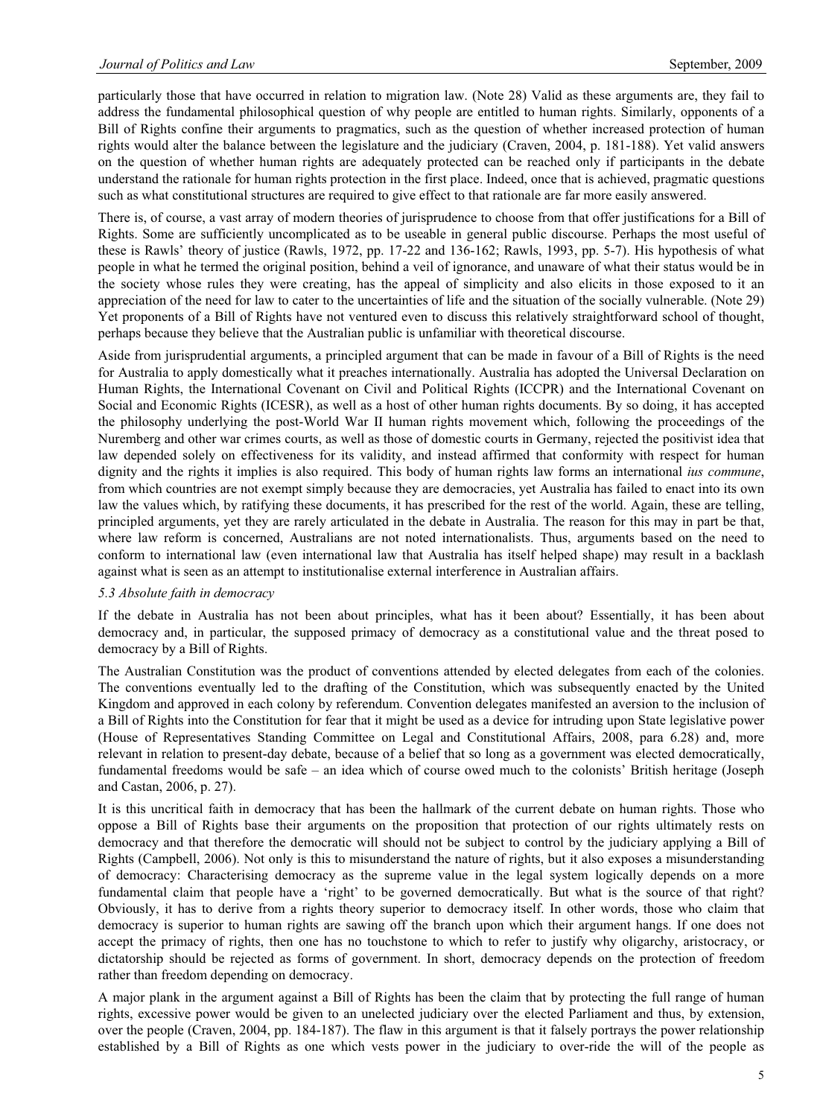particularly those that have occurred in relation to migration law. (Note 28) Valid as these arguments are, they fail to address the fundamental philosophical question of why people are entitled to human rights. Similarly, opponents of a Bill of Rights confine their arguments to pragmatics, such as the question of whether increased protection of human rights would alter the balance between the legislature and the judiciary (Craven, 2004, p. 181-188). Yet valid answers on the question of whether human rights are adequately protected can be reached only if participants in the debate understand the rationale for human rights protection in the first place. Indeed, once that is achieved, pragmatic questions such as what constitutional structures are required to give effect to that rationale are far more easily answered.

There is, of course, a vast array of modern theories of jurisprudence to choose from that offer justifications for a Bill of Rights. Some are sufficiently uncomplicated as to be useable in general public discourse. Perhaps the most useful of these is Rawls' theory of justice (Rawls, 1972, pp. 17-22 and 136-162; Rawls, 1993, pp. 5-7). His hypothesis of what people in what he termed the original position, behind a veil of ignorance, and unaware of what their status would be in the society whose rules they were creating, has the appeal of simplicity and also elicits in those exposed to it an appreciation of the need for law to cater to the uncertainties of life and the situation of the socially vulnerable. (Note 29) Yet proponents of a Bill of Rights have not ventured even to discuss this relatively straightforward school of thought, perhaps because they believe that the Australian public is unfamiliar with theoretical discourse.

Aside from jurisprudential arguments, a principled argument that can be made in favour of a Bill of Rights is the need for Australia to apply domestically what it preaches internationally. Australia has adopted the Universal Declaration on Human Rights, the International Covenant on Civil and Political Rights (ICCPR) and the International Covenant on Social and Economic Rights (ICESR), as well as a host of other human rights documents. By so doing, it has accepted the philosophy underlying the post-World War II human rights movement which, following the proceedings of the Nuremberg and other war crimes courts, as well as those of domestic courts in Germany, rejected the positivist idea that law depended solely on effectiveness for its validity, and instead affirmed that conformity with respect for human dignity and the rights it implies is also required. This body of human rights law forms an international *ius commune*, from which countries are not exempt simply because they are democracies, yet Australia has failed to enact into its own law the values which, by ratifying these documents, it has prescribed for the rest of the world. Again, these are telling, principled arguments, yet they are rarely articulated in the debate in Australia. The reason for this may in part be that, where law reform is concerned, Australians are not noted internationalists. Thus, arguments based on the need to conform to international law (even international law that Australia has itself helped shape) may result in a backlash against what is seen as an attempt to institutionalise external interference in Australian affairs.

#### *5.3 Absolute faith in democracy*

If the debate in Australia has not been about principles, what has it been about? Essentially, it has been about democracy and, in particular, the supposed primacy of democracy as a constitutional value and the threat posed to democracy by a Bill of Rights.

The Australian Constitution was the product of conventions attended by elected delegates from each of the colonies. The conventions eventually led to the drafting of the Constitution, which was subsequently enacted by the United Kingdom and approved in each colony by referendum. Convention delegates manifested an aversion to the inclusion of a Bill of Rights into the Constitution for fear that it might be used as a device for intruding upon State legislative power (House of Representatives Standing Committee on Legal and Constitutional Affairs, 2008, para 6.28) and, more relevant in relation to present-day debate, because of a belief that so long as a government was elected democratically, fundamental freedoms would be safe – an idea which of course owed much to the colonists' British heritage (Joseph and Castan, 2006, p. 27).

It is this uncritical faith in democracy that has been the hallmark of the current debate on human rights. Those who oppose a Bill of Rights base their arguments on the proposition that protection of our rights ultimately rests on democracy and that therefore the democratic will should not be subject to control by the judiciary applying a Bill of Rights (Campbell, 2006). Not only is this to misunderstand the nature of rights, but it also exposes a misunderstanding of democracy: Characterising democracy as the supreme value in the legal system logically depends on a more fundamental claim that people have a 'right' to be governed democratically. But what is the source of that right? Obviously, it has to derive from a rights theory superior to democracy itself. In other words, those who claim that democracy is superior to human rights are sawing off the branch upon which their argument hangs. If one does not accept the primacy of rights, then one has no touchstone to which to refer to justify why oligarchy, aristocracy, or dictatorship should be rejected as forms of government. In short, democracy depends on the protection of freedom rather than freedom depending on democracy.

A major plank in the argument against a Bill of Rights has been the claim that by protecting the full range of human rights, excessive power would be given to an unelected judiciary over the elected Parliament and thus, by extension, over the people (Craven, 2004, pp. 184-187). The flaw in this argument is that it falsely portrays the power relationship established by a Bill of Rights as one which vests power in the judiciary to over-ride the will of the people as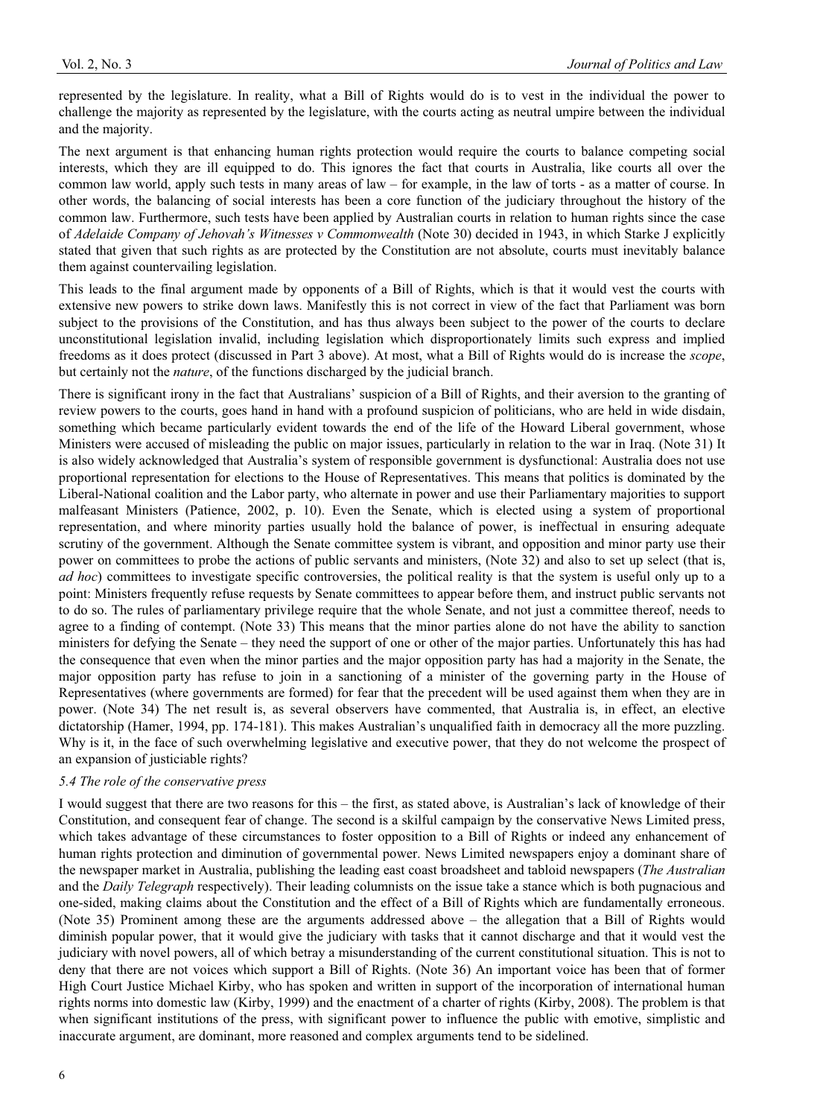represented by the legislature. In reality, what a Bill of Rights would do is to vest in the individual the power to challenge the majority as represented by the legislature, with the courts acting as neutral umpire between the individual and the majority.

The next argument is that enhancing human rights protection would require the courts to balance competing social interests, which they are ill equipped to do. This ignores the fact that courts in Australia, like courts all over the common law world, apply such tests in many areas of law – for example, in the law of torts - as a matter of course. In other words, the balancing of social interests has been a core function of the judiciary throughout the history of the common law. Furthermore, such tests have been applied by Australian courts in relation to human rights since the case of *Adelaide Company of Jehovah's Witnesses v Commonwealth* (Note 30) decided in 1943, in which Starke J explicitly stated that given that such rights as are protected by the Constitution are not absolute, courts must inevitably balance them against countervailing legislation.

This leads to the final argument made by opponents of a Bill of Rights, which is that it would vest the courts with extensive new powers to strike down laws. Manifestly this is not correct in view of the fact that Parliament was born subject to the provisions of the Constitution, and has thus always been subject to the power of the courts to declare unconstitutional legislation invalid, including legislation which disproportionately limits such express and implied freedoms as it does protect (discussed in Part 3 above). At most, what a Bill of Rights would do is increase the *scope*, but certainly not the *nature*, of the functions discharged by the judicial branch.

There is significant irony in the fact that Australians' suspicion of a Bill of Rights, and their aversion to the granting of review powers to the courts, goes hand in hand with a profound suspicion of politicians, who are held in wide disdain, something which became particularly evident towards the end of the life of the Howard Liberal government, whose Ministers were accused of misleading the public on major issues, particularly in relation to the war in Iraq. (Note 31) It is also widely acknowledged that Australia's system of responsible government is dysfunctional: Australia does not use proportional representation for elections to the House of Representatives. This means that politics is dominated by the Liberal-National coalition and the Labor party, who alternate in power and use their Parliamentary majorities to support malfeasant Ministers (Patience, 2002, p. 10). Even the Senate, which is elected using a system of proportional representation, and where minority parties usually hold the balance of power, is ineffectual in ensuring adequate scrutiny of the government. Although the Senate committee system is vibrant, and opposition and minor party use their power on committees to probe the actions of public servants and ministers, (Note 32) and also to set up select (that is, *ad hoc*) committees to investigate specific controversies, the political reality is that the system is useful only up to a point: Ministers frequently refuse requests by Senate committees to appear before them, and instruct public servants not to do so. The rules of parliamentary privilege require that the whole Senate, and not just a committee thereof, needs to agree to a finding of contempt. (Note 33) This means that the minor parties alone do not have the ability to sanction ministers for defying the Senate – they need the support of one or other of the major parties. Unfortunately this has had the consequence that even when the minor parties and the major opposition party has had a majority in the Senate, the major opposition party has refuse to join in a sanctioning of a minister of the governing party in the House of Representatives (where governments are formed) for fear that the precedent will be used against them when they are in power. (Note 34) The net result is, as several observers have commented, that Australia is, in effect, an elective dictatorship (Hamer, 1994, pp. 174-181). This makes Australian's unqualified faith in democracy all the more puzzling. Why is it, in the face of such overwhelming legislative and executive power, that they do not welcome the prospect of an expansion of justiciable rights?

# *5.4 The role of the conservative press*

I would suggest that there are two reasons for this – the first, as stated above, is Australian's lack of knowledge of their Constitution, and consequent fear of change. The second is a skilful campaign by the conservative News Limited press, which takes advantage of these circumstances to foster opposition to a Bill of Rights or indeed any enhancement of human rights protection and diminution of governmental power. News Limited newspapers enjoy a dominant share of the newspaper market in Australia, publishing the leading east coast broadsheet and tabloid newspapers (*The Australian*  and the *Daily Telegraph* respectively). Their leading columnists on the issue take a stance which is both pugnacious and one-sided, making claims about the Constitution and the effect of a Bill of Rights which are fundamentally erroneous. (Note 35) Prominent among these are the arguments addressed above – the allegation that a Bill of Rights would diminish popular power, that it would give the judiciary with tasks that it cannot discharge and that it would vest the judiciary with novel powers, all of which betray a misunderstanding of the current constitutional situation. This is not to deny that there are not voices which support a Bill of Rights. (Note 36) An important voice has been that of former High Court Justice Michael Kirby, who has spoken and written in support of the incorporation of international human rights norms into domestic law (Kirby, 1999) and the enactment of a charter of rights (Kirby, 2008). The problem is that when significant institutions of the press, with significant power to influence the public with emotive, simplistic and inaccurate argument, are dominant, more reasoned and complex arguments tend to be sidelined.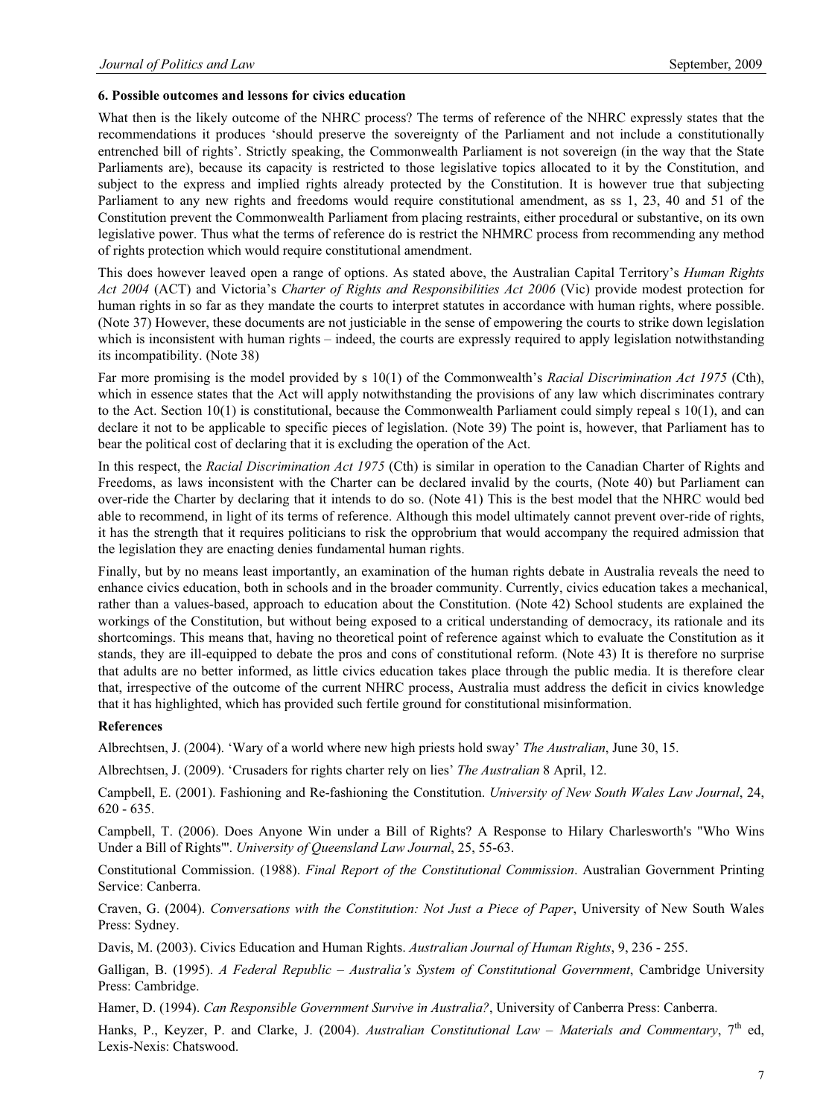### **6. Possible outcomes and lessons for civics education**

What then is the likely outcome of the NHRC process? The terms of reference of the NHRC expressly states that the recommendations it produces 'should preserve the sovereignty of the Parliament and not include a constitutionally entrenched bill of rights'. Strictly speaking, the Commonwealth Parliament is not sovereign (in the way that the State Parliaments are), because its capacity is restricted to those legislative topics allocated to it by the Constitution, and subject to the express and implied rights already protected by the Constitution. It is however true that subjecting Parliament to any new rights and freedoms would require constitutional amendment, as ss 1, 23, 40 and 51 of the Constitution prevent the Commonwealth Parliament from placing restraints, either procedural or substantive, on its own legislative power. Thus what the terms of reference do is restrict the NHMRC process from recommending any method of rights protection which would require constitutional amendment.

This does however leaved open a range of options. As stated above, the Australian Capital Territory's *Human Rights Act 2004* (ACT) and Victoria's *Charter of Rights and Responsibilities Act 2006* (Vic) provide modest protection for human rights in so far as they mandate the courts to interpret statutes in accordance with human rights, where possible. (Note 37) However, these documents are not justiciable in the sense of empowering the courts to strike down legislation which is inconsistent with human rights – indeed, the courts are expressly required to apply legislation notwithstanding its incompatibility. (Note 38)

Far more promising is the model provided by s 10(1) of the Commonwealth's *Racial Discrimination Act 1975* (Cth), which in essence states that the Act will apply notwithstanding the provisions of any law which discriminates contrary to the Act. Section 10(1) is constitutional, because the Commonwealth Parliament could simply repeal s 10(1), and can declare it not to be applicable to specific pieces of legislation. (Note 39) The point is, however, that Parliament has to bear the political cost of declaring that it is excluding the operation of the Act.

In this respect, the *Racial Discrimination Act 1975* (Cth) is similar in operation to the Canadian Charter of Rights and Freedoms, as laws inconsistent with the Charter can be declared invalid by the courts, (Note 40) but Parliament can over-ride the Charter by declaring that it intends to do so. (Note 41) This is the best model that the NHRC would bed able to recommend, in light of its terms of reference. Although this model ultimately cannot prevent over-ride of rights, it has the strength that it requires politicians to risk the opprobrium that would accompany the required admission that the legislation they are enacting denies fundamental human rights.

Finally, but by no means least importantly, an examination of the human rights debate in Australia reveals the need to enhance civics education, both in schools and in the broader community. Currently, civics education takes a mechanical, rather than a values-based, approach to education about the Constitution. (Note 42) School students are explained the workings of the Constitution, but without being exposed to a critical understanding of democracy, its rationale and its shortcomings. This means that, having no theoretical point of reference against which to evaluate the Constitution as it stands, they are ill-equipped to debate the pros and cons of constitutional reform. (Note 43) It is therefore no surprise that adults are no better informed, as little civics education takes place through the public media. It is therefore clear that, irrespective of the outcome of the current NHRC process, Australia must address the deficit in civics knowledge that it has highlighted, which has provided such fertile ground for constitutional misinformation.

# **References**

Albrechtsen, J. (2004). 'Wary of a world where new high priests hold sway' *The Australian*, June 30, 15.

Albrechtsen, J. (2009). 'Crusaders for rights charter rely on lies' *The Australian* 8 April, 12.

Campbell, E. (2001). Fashioning and Re-fashioning the Constitution. *University of New South Wales Law Journal*, 24, 620 - 635.

Campbell, T. (2006). Does Anyone Win under a Bill of Rights? A Response to Hilary Charlesworth's "Who Wins Under a Bill of Rights"'. *University of Queensland Law Journal*, 25, 55-63.

Constitutional Commission. (1988). *Final Report of the Constitutional Commission*. Australian Government Printing Service: Canberra.

Craven, G. (2004). *Conversations with the Constitution: Not Just a Piece of Paper*, University of New South Wales Press: Sydney.

Davis, M. (2003). Civics Education and Human Rights. *Australian Journal of Human Rights*, 9, 236 - 255.

Galligan, B. (1995). *A Federal Republic – Australia's System of Constitutional Government*, Cambridge University Press: Cambridge.

Hamer, D. (1994). *Can Responsible Government Survive in Australia?*, University of Canberra Press: Canberra.

Hanks, P., Keyzer, P. and Clarke, J. (2004). *Australian Constitutional Law – Materials and Commentary*, 7<sup>th</sup> ed, Lexis-Nexis: Chatswood.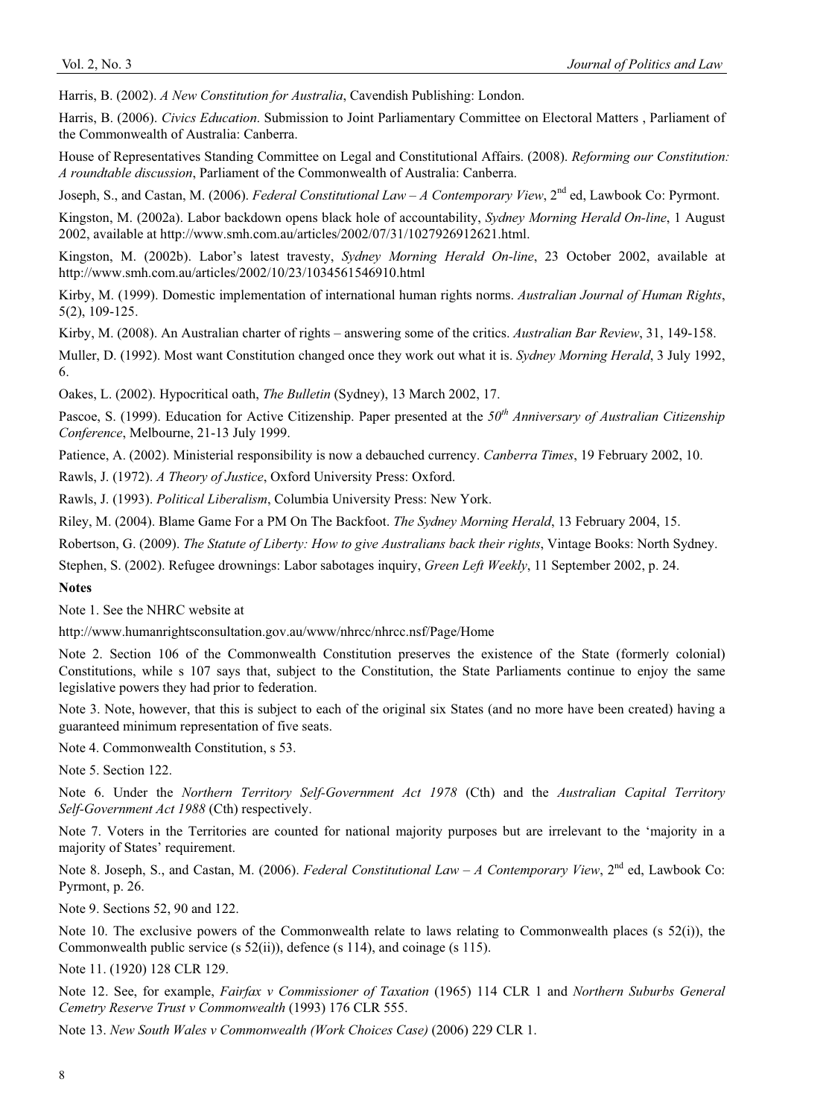Harris, B. (2002). *A New Constitution for Australia*, Cavendish Publishing: London.

Harris, B. (2006). *Civics Education*. Submission to Joint Parliamentary Committee on Electoral Matters , Parliament of the Commonwealth of Australia: Canberra.

House of Representatives Standing Committee on Legal and Constitutional Affairs. (2008). *Reforming our Constitution: A roundtable discussion*, Parliament of the Commonwealth of Australia: Canberra.

Joseph, S., and Castan, M. (2006). *Federal Constitutional Law – A Contemporary View*, 2nd ed, Lawbook Co: Pyrmont.

Kingston, M. (2002a). Labor backdown opens black hole of accountability, *Sydney Morning Herald On-line*, 1 August 2002, available at http://www.smh.com.au/articles/2002/07/31/1027926912621.html.

Kingston, M. (2002b). Labor's latest travesty, *Sydney Morning Herald On-line*, 23 October 2002, available at http://www.smh.com.au/articles/2002/10/23/1034561546910.html

Kirby, M. (1999). Domestic implementation of international human rights norms. *Australian Journal of Human Rights*, 5(2), 109-125.

Kirby, M. (2008). An Australian charter of rights – answering some of the critics. *Australian Bar Review*, 31, 149-158.

Muller, D. (1992). Most want Constitution changed once they work out what it is. *Sydney Morning Herald*, 3 July 1992, 6.

Oakes, L. (2002). Hypocritical oath, *The Bulletin* (Sydney), 13 March 2002, 17.

Pascoe, S. (1999). Education for Active Citizenship. Paper presented at the *50th Anniversary of Australian Citizenship Conference*, Melbourne, 21-13 July 1999.

Patience, A. (2002). Ministerial responsibility is now a debauched currency. *Canberra Times*, 19 February 2002, 10.

Rawls, J. (1972). *A Theory of Justice*, Oxford University Press: Oxford.

Rawls, J. (1993). *Political Liberalism*, Columbia University Press: New York.

Riley, M. (2004). Blame Game For a PM On The Backfoot. *The Sydney Morning Herald*, 13 February 2004, 15.

Robertson, G. (2009). *The Statute of Liberty: How to give Australians back their rights*, Vintage Books: North Sydney.

Stephen, S. (2002). Refugee drownings: Labor sabotages inquiry, *Green Left Weekly*, 11 September 2002, p. 24.

#### **Notes**

Note 1. See the NHRC website at

http://www.humanrightsconsultation.gov.au/www/nhrcc/nhrcc.nsf/Page/Home

Note 2. Section 106 of the Commonwealth Constitution preserves the existence of the State (formerly colonial) Constitutions, while s 107 says that, subject to the Constitution, the State Parliaments continue to enjoy the same legislative powers they had prior to federation.

Note 3. Note, however, that this is subject to each of the original six States (and no more have been created) having a guaranteed minimum representation of five seats.

Note 4. Commonwealth Constitution, s 53.

Note 5. Section 122.

Note 6. Under the *Northern Territory Self-Government Act 1978* (Cth) and the *Australian Capital Territory Self-Government Act 1988* (Cth) respectively.

Note 7. Voters in the Territories are counted for national majority purposes but are irrelevant to the 'majority in a majority of States' requirement.

Note 8. Joseph, S., and Castan, M. (2006). *Federal Constitutional Law - A Contemporary View*, 2<sup>nd</sup> ed, Lawbook Co: Pyrmont, p. 26.

Note 9. Sections 52, 90 and 122.

Note 10. The exclusive powers of the Commonwealth relate to laws relating to Commonwealth places (s 52(i)), the Commonwealth public service (s 52(ii)), defence (s 114), and coinage (s 115).

Note 11. (1920) 128 CLR 129.

Note 12. See, for example, *Fairfax v Commissioner of Taxation* (1965) 114 CLR 1 and *Northern Suburbs General Cemetry Reserve Trust v Commonwealth* (1993) 176 CLR 555.

Note 13. *New South Wales v Commonwealth (Work Choices Case)* (2006) 229 CLR 1.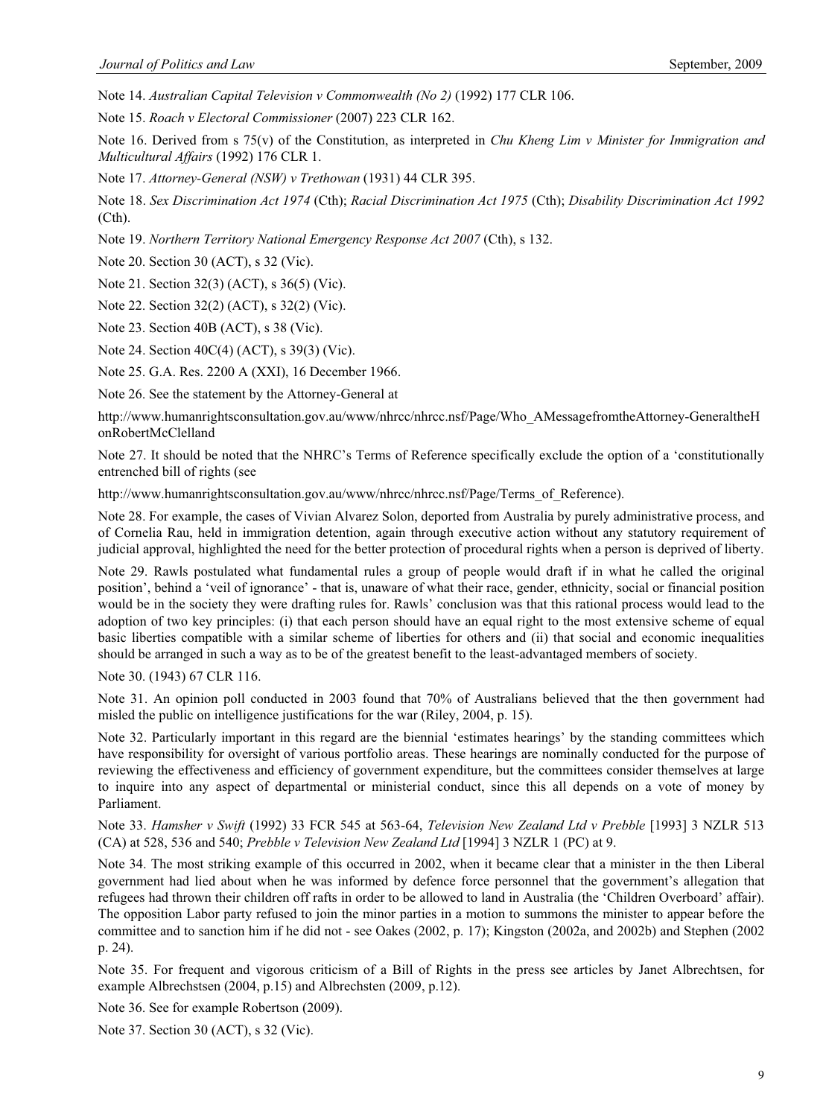Note 14. *Australian Capital Television v Commonwealth (No 2)* (1992) 177 CLR 106.

Note 15. *Roach v Electoral Commissioner* (2007) 223 CLR 162.

Note 16. Derived from s 75(v) of the Constitution, as interpreted in *Chu Kheng Lim v Minister for Immigration and Multicultural Affairs* (1992) 176 CLR 1.

Note 17. *Attorney-General (NSW) v Trethowan* (1931) 44 CLR 395.

Note 18. *Sex Discrimination Act 1974* (Cth); *Racial Discrimination Act 1975* (Cth); *Disability Discrimination Act 1992*  (Cth).

Note 19. *Northern Territory National Emergency Response Act 2007* (Cth), s 132.

Note 20. Section 30 (ACT), s 32 (Vic).

Note 21. Section 32(3) (ACT), s 36(5) (Vic).

Note 22. Section 32(2) (ACT), s 32(2) (Vic).

Note 23. Section 40B (ACT), s 38 (Vic).

Note 24. Section 40C(4) (ACT), s 39(3) (Vic).

Note 25. G.A. Res. 2200 A (XXI), 16 December 1966.

Note 26. See the statement by the Attorney-General at

http://www.humanrightsconsultation.gov.au/www/nhrcc/nhrcc.nsf/Page/Who\_AMessagefromtheAttorney-GeneraltheH onRobertMcClelland

Note 27. It should be noted that the NHRC's Terms of Reference specifically exclude the option of a 'constitutionally entrenched bill of rights (see

http://www.humanrightsconsultation.gov.au/www/nhrcc/nhrcc.nsf/Page/Terms\_of\_Reference).

Note 28. For example, the cases of Vivian Alvarez Solon, deported from Australia by purely administrative process, and of Cornelia Rau, held in immigration detention, again through executive action without any statutory requirement of judicial approval, highlighted the need for the better protection of procedural rights when a person is deprived of liberty.

Note 29. Rawls postulated what fundamental rules a group of people would draft if in what he called the original position', behind a 'veil of ignorance' - that is, unaware of what their race, gender, ethnicity, social or financial position would be in the society they were drafting rules for. Rawls' conclusion was that this rational process would lead to the adoption of two key principles: (i) that each person should have an equal right to the most extensive scheme of equal basic liberties compatible with a similar scheme of liberties for others and (ii) that social and economic inequalities should be arranged in such a way as to be of the greatest benefit to the least-advantaged members of society.

Note 30. (1943) 67 CLR 116.

Note 31. An opinion poll conducted in 2003 found that 70% of Australians believed that the then government had misled the public on intelligence justifications for the war (Riley, 2004, p. 15).

Note 32. Particularly important in this regard are the biennial 'estimates hearings' by the standing committees which have responsibility for oversight of various portfolio areas. These hearings are nominally conducted for the purpose of reviewing the effectiveness and efficiency of government expenditure, but the committees consider themselves at large to inquire into any aspect of departmental or ministerial conduct, since this all depends on a vote of money by Parliament.

Note 33. *Hamsher v Swift* (1992) 33 FCR 545 at 563-64, *Television New Zealand Ltd v Prebble* [1993] 3 NZLR 513 (CA) at 528, 536 and 540; *Prebble v Television New Zealand Ltd* [1994] 3 NZLR 1 (PC) at 9.

Note 34. The most striking example of this occurred in 2002, when it became clear that a minister in the then Liberal government had lied about when he was informed by defence force personnel that the government's allegation that refugees had thrown their children off rafts in order to be allowed to land in Australia (the 'Children Overboard' affair). The opposition Labor party refused to join the minor parties in a motion to summons the minister to appear before the committee and to sanction him if he did not - see Oakes (2002, p. 17); Kingston (2002a, and 2002b) and Stephen (2002 p. 24).

Note 35. For frequent and vigorous criticism of a Bill of Rights in the press see articles by Janet Albrechtsen, for example Albrechstsen (2004, p.15) and Albrechsten (2009, p.12).

Note 36. See for example Robertson (2009).

Note 37. Section 30 (ACT), s 32 (Vic).